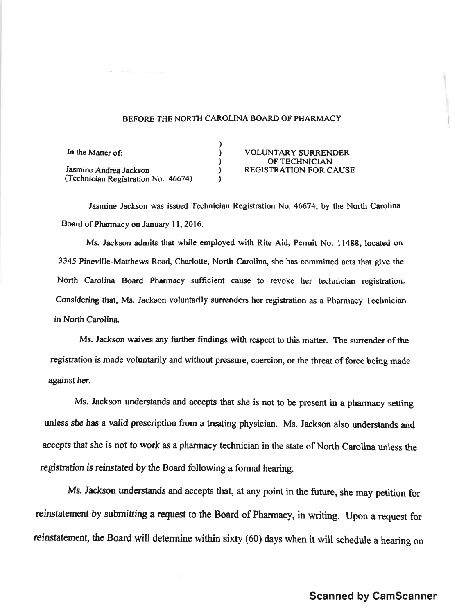## BEFORE THE NORTH CAROLINA BOARD OF PHARMACY

) , ) ) )

In the Matter of: Jasmine Andrea Jackson (Technician Registration No. 46ó74)

VOLUNTARY SURRENDER OF TECHNICIAN REGISTRATION FOR CAUSE

Jasmine Jackson was issued Technician Registration No. 46674, by the North Carolina Board of Pharmacy on January 11, 2016.

Ms. Jackson admits that while employed with Rite Aid, Permit No. 11488, located on 3345 Pineville-Matthews Road, Charlotte, North Carolina, she has committed acts that give the North Carolina Board Pharmacy sufficient cause to revoke her technician registration. Considering that, Ms. Jackson voluntarily surrenders her registration as a Pharmacy Technician in North Carolina.

Ms. Jackson waives any further findings with respect to this matter. The surrender of the ægistration is made voluntarily and without pressure, coercion, or the threat of force being made against her.

Ms. Jackson understands and accepts that she is not to be present in a pharmacy setting unless she has a valid prescription from a treating physician. Ms. Jackson also understands and accepts that she is not to work as a pharmacy technician in the state of North Carolina unless the registration is reinstated by the Board following a formal hearing.

Ms. Jackson understands and accepts that, at any point in the future, she may petition for reinstatement by submitting a request to the Board of Pharmacy, in writing. Upon a request for reinstatement, the Board will determine within sixty (60) days when it will schedule a hearing on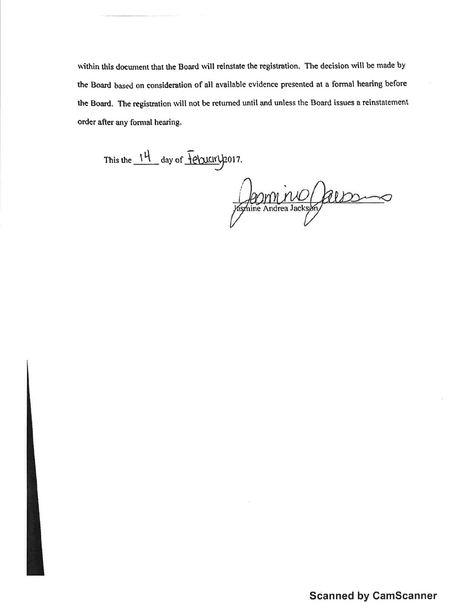within this document that the Board will reinstate the registration. The decision will be made by the Board based on consideration of all available evidence presented at a formal hearing before the Board. The registration will not be returned until and unless the Board issues a reinstatement order after any formal hearing.

This the  $14$  day of  $\overline{f}$ ebucky 2017.

Appmine (albom